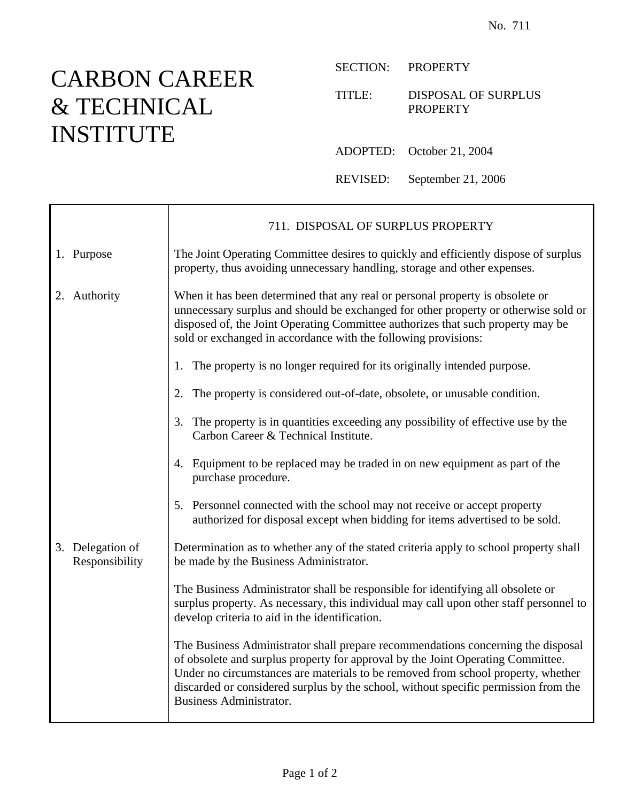## CARBON CAREER & TECHNICAL INSTITUTE

 $\mathbf{I}$ 

Г

SECTION: PROPERTY

## TITLE: DISPOSAL OF SURPLUS **PROPERTY**

ADOPTED: October 21, 2004

REVISED: September 21, 2006

|                                    | 711. DISPOSAL OF SURPLUS PROPERTY                                                                                                                                                                                                                                                                                                                                                |
|------------------------------------|----------------------------------------------------------------------------------------------------------------------------------------------------------------------------------------------------------------------------------------------------------------------------------------------------------------------------------------------------------------------------------|
| 1. Purpose                         | The Joint Operating Committee desires to quickly and efficiently dispose of surplus<br>property, thus avoiding unnecessary handling, storage and other expenses.                                                                                                                                                                                                                 |
| 2. Authority                       | When it has been determined that any real or personal property is obsolete or<br>unnecessary surplus and should be exchanged for other property or otherwise sold or<br>disposed of, the Joint Operating Committee authorizes that such property may be<br>sold or exchanged in accordance with the following provisions:                                                        |
|                                    | 1. The property is no longer required for its originally intended purpose.                                                                                                                                                                                                                                                                                                       |
|                                    | 2. The property is considered out-of-date, obsolete, or unusable condition.                                                                                                                                                                                                                                                                                                      |
|                                    | 3. The property is in quantities exceeding any possibility of effective use by the<br>Carbon Career & Technical Institute.                                                                                                                                                                                                                                                       |
|                                    | 4. Equipment to be replaced may be traded in on new equipment as part of the<br>purchase procedure.                                                                                                                                                                                                                                                                              |
|                                    | 5. Personnel connected with the school may not receive or accept property<br>authorized for disposal except when bidding for items advertised to be sold.                                                                                                                                                                                                                        |
| 3. Delegation of<br>Responsibility | Determination as to whether any of the stated criteria apply to school property shall<br>be made by the Business Administrator.                                                                                                                                                                                                                                                  |
|                                    | The Business Administrator shall be responsible for identifying all obsolete or<br>surplus property. As necessary, this individual may call upon other staff personnel to<br>develop criteria to aid in the identification.                                                                                                                                                      |
|                                    | The Business Administrator shall prepare recommendations concerning the disposal<br>of obsolete and surplus property for approval by the Joint Operating Committee.<br>Under no circumstances are materials to be removed from school property, whether<br>discarded or considered surplus by the school, without specific permission from the<br><b>Business Administrator.</b> |